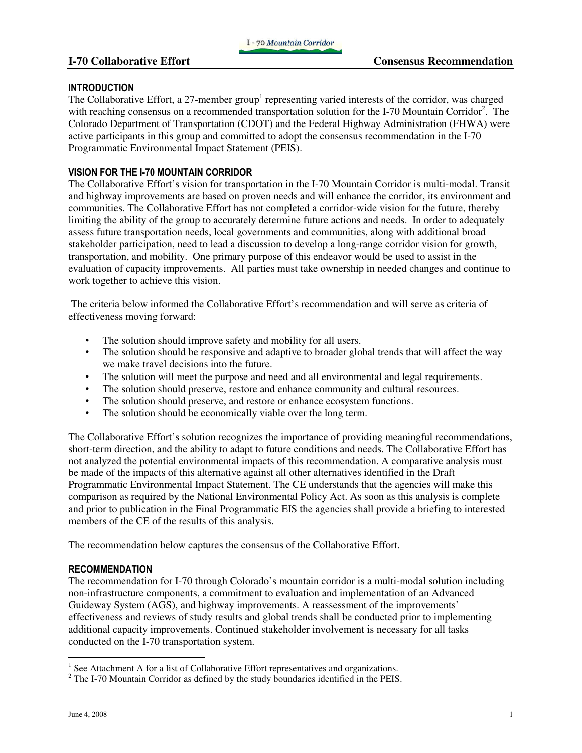### **INTRODUCTION**

The Collaborative Effort, a 27-member group<sup>1</sup> representing varied interests of the corridor, was charged with reaching consensus on a recommended transportation solution for the I-70 Mountain Corridor<sup>2</sup>. The Colorado Department of Transportation (CDOT) and the Federal Highway Administration (FHWA) were active participants in this group and committed to adopt the consensus recommendation in the I-70 Programmatic Environmental Impact Statement (PEIS).

## VISION FOR THE I-70 MOUNTAIN CORRIDOR

The Collaborative Effort's vision for transportation in the I-70 Mountain Corridor is multi-modal. Transit and highway improvements are based on proven needs and will enhance the corridor, its environment and communities. The Collaborative Effort has not completed a corridor-wide vision for the future, thereby limiting the ability of the group to accurately determine future actions and needs. In order to adequately assess future transportation needs, local governments and communities, along with additional broad stakeholder participation, need to lead a discussion to develop a long-range corridor vision for growth, transportation, and mobility. One primary purpose of this endeavor would be used to assist in the evaluation of capacity improvements. All parties must take ownership in needed changes and continue to work together to achieve this vision.

 The criteria below informed the Collaborative Effort's recommendation and will serve as criteria of effectiveness moving forward:

- The solution should improve safety and mobility for all users.
- The solution should be responsive and adaptive to broader global trends that will affect the way we make travel decisions into the future.
- The solution will meet the purpose and need and all environmental and legal requirements.
- The solution should preserve, restore and enhance community and cultural resources.
- The solution should preserve, and restore or enhance ecosystem functions.
- The solution should be economically viable over the long term.

The Collaborative Effort's solution recognizes the importance of providing meaningful recommendations, short-term direction, and the ability to adapt to future conditions and needs. The Collaborative Effort has not analyzed the potential environmental impacts of this recommendation. A comparative analysis must be made of the impacts of this alternative against all other alternatives identified in the Draft Programmatic Environmental Impact Statement. The CE understands that the agencies will make this comparison as required by the National Environmental Policy Act. As soon as this analysis is complete and prior to publication in the Final Programmatic EIS the agencies shall provide a briefing to interested members of the CE of the results of this analysis.

The recommendation below captures the consensus of the Collaborative Effort.

## RECOMMENDATION

The recommendation for I-70 through Colorado's mountain corridor is a multi-modal solution including non-infrastructure components, a commitment to evaluation and implementation of an Advanced Guideway System (AGS), and highway improvements. A reassessment of the improvements' effectiveness and reviews of study results and global trends shall be conducted prior to implementing additional capacity improvements. Continued stakeholder involvement is necessary for all tasks conducted on the I-70 transportation system.

<sup>&</sup>lt;sup>1</sup> See Attachment A for a list of Collaborative Effort representatives and organizations.

 $2^2$  The I-70 Mountain Corridor as defined by the study boundaries identified in the PEIS.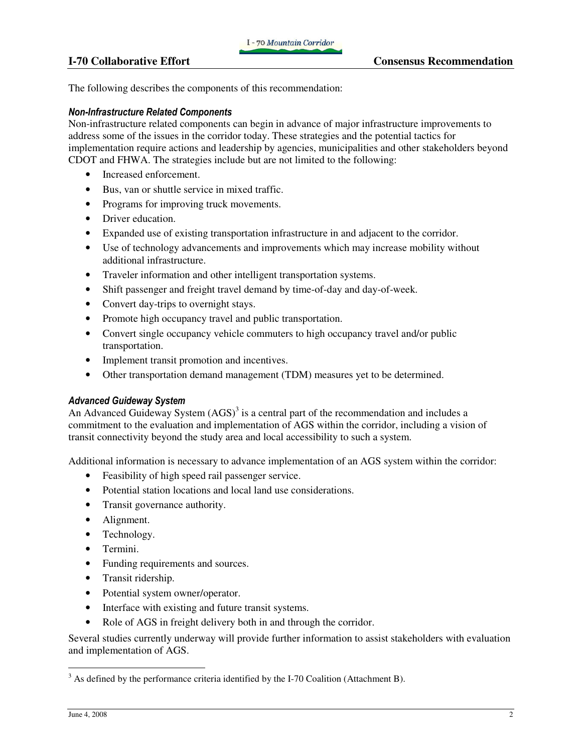The following describes the components of this recommendation:

## Non-Infrastructure Related Components

Non-infrastructure related components can begin in advance of major infrastructure improvements to address some of the issues in the corridor today. These strategies and the potential tactics for implementation require actions and leadership by agencies, municipalities and other stakeholders beyond CDOT and FHWA. The strategies include but are not limited to the following:

- Increased enforcement.
- Bus, van or shuttle service in mixed traffic.
- Programs for improving truck movements.
- Driver education.
- Expanded use of existing transportation infrastructure in and adjacent to the corridor.
- Use of technology advancements and improvements which may increase mobility without additional infrastructure.
- Traveler information and other intelligent transportation systems.
- Shift passenger and freight travel demand by time-of-day and day-of-week.
- Convert day-trips to overnight stays.
- Promote high occupancy travel and public transportation.
- Convert single occupancy vehicle commuters to high occupancy travel and/or public transportation.
- Implement transit promotion and incentives.
- Other transportation demand management (TDM) measures yet to be determined.

## Advanced Guideway System

An Advanced Guideway System  $(AGS)^3$  is a central part of the recommendation and includes a commitment to the evaluation and implementation of AGS within the corridor, including a vision of transit connectivity beyond the study area and local accessibility to such a system.

Additional information is necessary to advance implementation of an AGS system within the corridor:

- Feasibility of high speed rail passenger service.
- Potential station locations and local land use considerations.
- Transit governance authority.
- Alignment.
- Technology.
- Termini.
- Funding requirements and sources.
- Transit ridership.
- Potential system owner/operator.
- Interface with existing and future transit systems.
- Role of AGS in freight delivery both in and through the corridor.

Several studies currently underway will provide further information to assist stakeholders with evaluation and implementation of AGS.

l

 $3$  As defined by the performance criteria identified by the I-70 Coalition (Attachment B).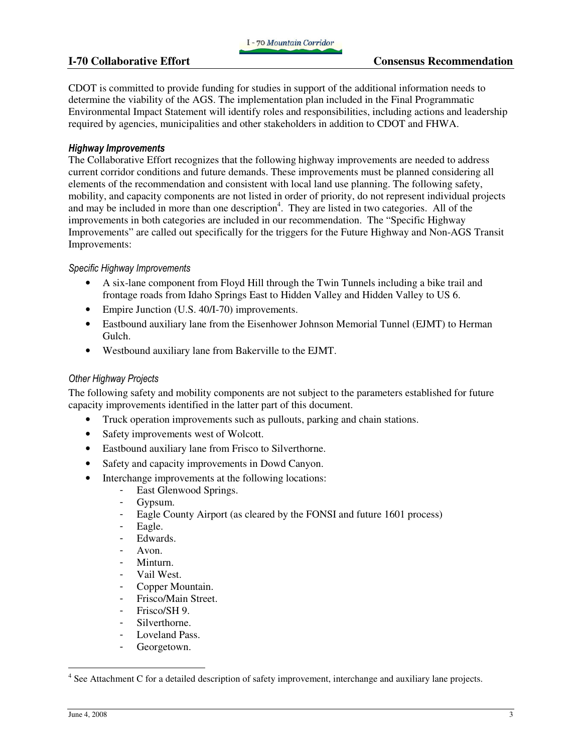CDOT is committed to provide funding for studies in support of the additional information needs to determine the viability of the AGS. The implementation plan included in the Final Programmatic Environmental Impact Statement will identify roles and responsibilities, including actions and leadership required by agencies, municipalities and other stakeholders in addition to CDOT and FHWA.

### Highway Improvements

The Collaborative Effort recognizes that the following highway improvements are needed to address current corridor conditions and future demands. These improvements must be planned considering all elements of the recommendation and consistent with local land use planning. The following safety, mobility, and capacity components are not listed in order of priority, do not represent individual projects and may be included in more than one description<sup>4</sup>. They are listed in two categories. All of the improvements in both categories are included in our recommendation. The "Specific Highway Improvements" are called out specifically for the triggers for the Future Highway and Non-AGS Transit Improvements:

### Specific Highway Improvements

- A six-lane component from Floyd Hill through the Twin Tunnels including a bike trail and frontage roads from Idaho Springs East to Hidden Valley and Hidden Valley to US 6.
- Empire Junction (U.S. 40/I-70) improvements.
- Eastbound auxiliary lane from the Eisenhower Johnson Memorial Tunnel (EJMT) to Herman Gulch.
- Westbound auxiliary lane from Bakerville to the EJMT.

### Other Highway Projects

The following safety and mobility components are not subject to the parameters established for future capacity improvements identified in the latter part of this document.

- Truck operation improvements such as pullouts, parking and chain stations.
- Safety improvements west of Wolcott.
- Eastbound auxiliary lane from Frisco to Silverthorne.
- Safety and capacity improvements in Dowd Canyon.
- Interchange improvements at the following locations:
	- East Glenwood Springs.
	- Gypsum.
	- Eagle County Airport (as cleared by the FONSI and future 1601 process)
	- Eagle.
	- Edwards.
	- Avon.
	- Minturn.
	- Vail West.
	- Copper Mountain.
	- Frisco/Main Street.
	- Frisco/SH 9.
	- Silverthorne.
	- Loveland Pass.
	- Georgetown.

l

<sup>&</sup>lt;sup>4</sup> See Attachment C for a detailed description of safety improvement, interchange and auxiliary lane projects.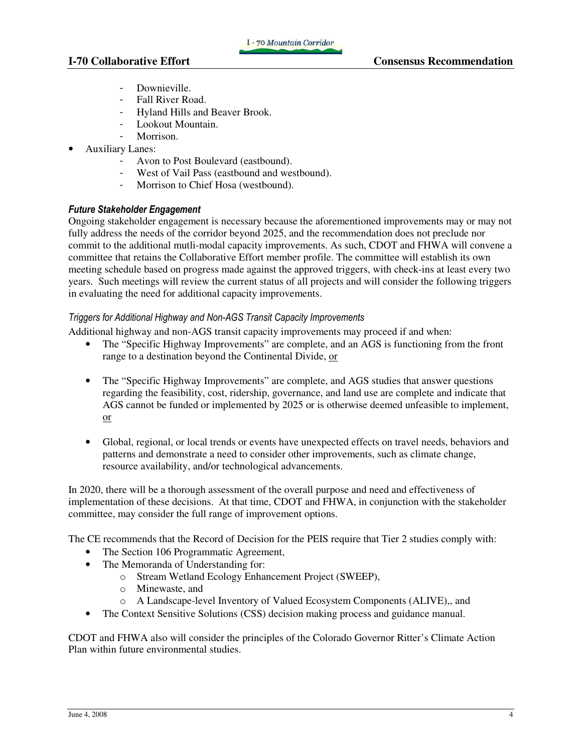I - 70 Mountain Corridor

- Downieville.
- Fall River Road.
- Hyland Hills and Beaver Brook.
- Lookout Mountain.
- Morrison.
- Auxiliary Lanes:
	- Avon to Post Boulevard (eastbound).
	- West of Vail Pass (eastbound and westbound).
	- Morrison to Chief Hosa (westbound).

# Future Stakeholder Engagement

Ongoing stakeholder engagement is necessary because the aforementioned improvements may or may not fully address the needs of the corridor beyond 2025, and the recommendation does not preclude nor commit to the additional mutli-modal capacity improvements. As such, CDOT and FHWA will convene a committee that retains the Collaborative Effort member profile. The committee will establish its own meeting schedule based on progress made against the approved triggers, with check-ins at least every two years. Such meetings will review the current status of all projects and will consider the following triggers in evaluating the need for additional capacity improvements.

## Triggers for Additional Highway and Non-AGS Transit Capacity Improvements

Additional highway and non-AGS transit capacity improvements may proceed if and when:

- The "Specific Highway Improvements" are complete, and an AGS is functioning from the front range to a destination beyond the Continental Divide, or
- The "Specific Highway Improvements" are complete, and AGS studies that answer questions regarding the feasibility, cost, ridership, governance, and land use are complete and indicate that AGS cannot be funded or implemented by 2025 or is otherwise deemed unfeasible to implement, or
- Global, regional, or local trends or events have unexpected effects on travel needs, behaviors and patterns and demonstrate a need to consider other improvements, such as climate change, resource availability, and/or technological advancements.

In 2020, there will be a thorough assessment of the overall purpose and need and effectiveness of implementation of these decisions. At that time, CDOT and FHWA, in conjunction with the stakeholder committee, may consider the full range of improvement options.

The CE recommends that the Record of Decision for the PEIS require that Tier 2 studies comply with:

- The Section 106 Programmatic Agreement,
- The Memoranda of Understanding for:
	- o Stream Wetland Ecology Enhancement Project (SWEEP),
	- o Minewaste, and
	- o A Landscape-level Inventory of Valued Ecosystem Components (ALIVE),, and
- The Context Sensitive Solutions (CSS) decision making process and guidance manual.

CDOT and FHWA also will consider the principles of the Colorado Governor Ritter's Climate Action Plan within future environmental studies.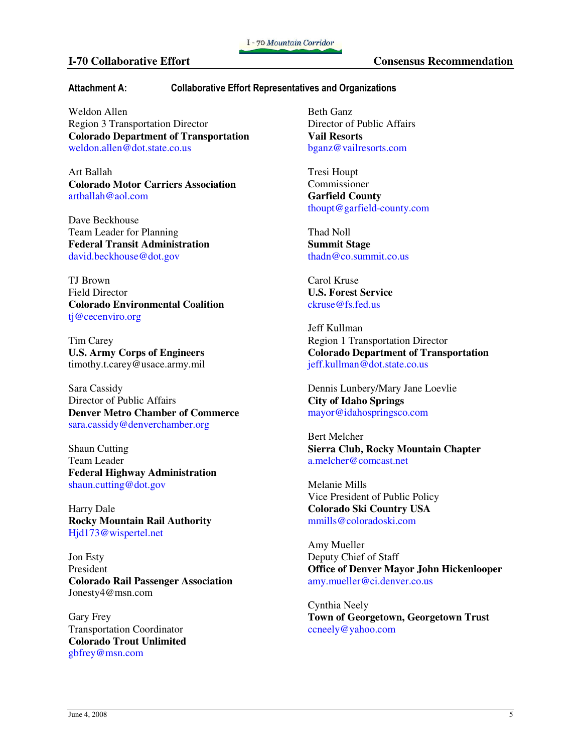### **I-70 Collaborative Effort Consensus Recommendation**

### Attachment A: Collaborative Effort Representatives and Organizations

Weldon Allen Region 3 Transportation Director **Colorado Department of Transportation**  weldon.allen@dot.state.co.us

Art Ballah **Colorado Motor Carriers Association**  artballah@aol.com

Dave Beckhouse Team Leader for Planning **Federal Transit Administration**  david.beckhouse@dot.gov

TJ Brown Field Director **Colorado Environmental Coalition**  tj@cecenviro.org

Tim Carey **U.S. Army Corps of Engineers**  timothy.t.carey@usace.army.mil

Sara Cassidy Director of Public Affairs **Denver Metro Chamber of Commerce**  sara.cassidy@denverchamber.org

Shaun Cutting Team Leader **Federal Highway Administration**  shaun.cutting@dot.gov

Harry Dale **Rocky Mountain Rail Authority**  Hjd173@wispertel.net

Jon Esty President **Colorado Rail Passenger Association**  Jonesty4@msn.com

Gary Frey Transportation Coordinator **Colorado Trout Unlimited**  gbfrey@msn.com

Beth Ganz Director of Public Affairs **Vail Resorts**  bganz@vailresorts.com

Tresi Houpt Commissioner **Garfield County**  thoupt@garfield-county.com

Thad Noll **Summit Stage** thadn@co.summit.co.us

Carol Kruse **U.S. Forest Service** ckruse@fs.fed.us

Jeff Kullman Region 1 Transportation Director **Colorado Department of Transportation**  jeff.kullman@dot.state.co.us

Dennis Lunbery/Mary Jane Loevlie **City of Idaho Springs** mayor@idahospringsco.com

Bert Melcher **Sierra Club, Rocky Mountain Chapter**  a.melcher@comcast.net

Melanie Mills Vice President of Public Policy **Colorado Ski Country USA**  mmills@coloradoski.com

Amy Mueller Deputy Chief of Staff **Office of Denver Mayor John Hickenlooper**  amy.mueller@ci.denver.co.us

Cynthia Neely **Town of Georgetown, Georgetown Trust**  ccneely@yahoo.com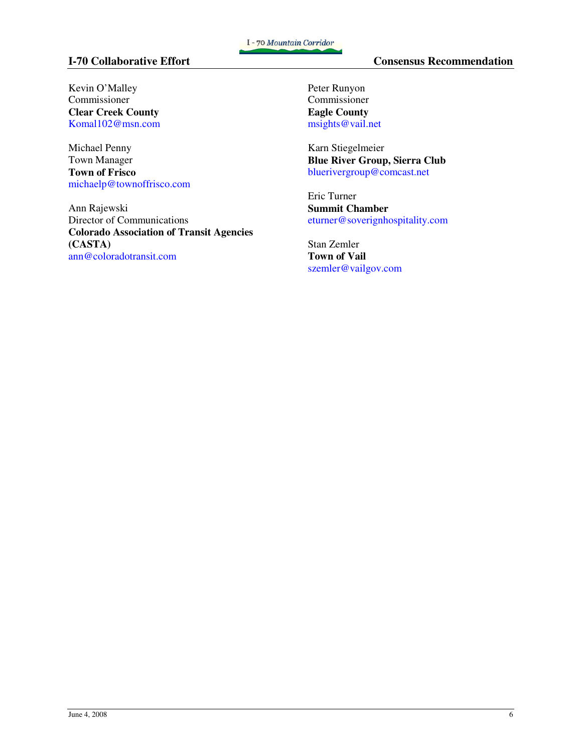Kevin O'Malley Commissioner **Clear Creek County**  Komal102@msn.com

Michael Penny Town Manager **Town of Frisco**  michaelp@townoffrisco.com

Ann Rajewski Director of Communications **Colorado Association of Transit Agencies (CASTA)**  ann@coloradotransit.com

Peter Runyon Commissioner **Eagle County**  msights@vail.net

Karn Stiegelmeier **Blue River Group, Sierra Club**  bluerivergroup@comcast.net

Eric Turner **Summit Chamber**  eturner@soverignhospitality.com

Stan Zemler **Town of Vail**  szemler@vailgov.com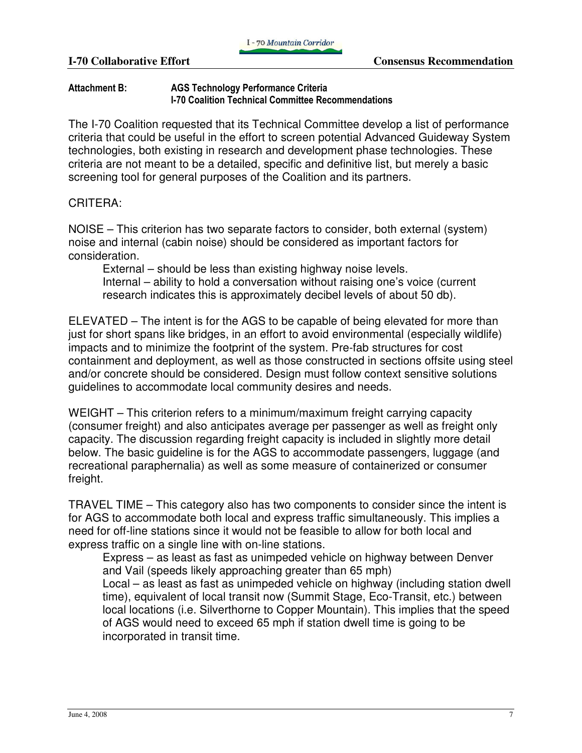# Attachment B: AGS Technology Performance Criteria I-70 Coalition Technical Committee Recommendations

The I-70 Coalition requested that its Technical Committee develop a list of performance criteria that could be useful in the effort to screen potential Advanced Guideway System technologies, both existing in research and development phase technologies. These criteria are not meant to be a detailed, specific and definitive list, but merely a basic screening tool for general purposes of the Coalition and its partners.

# CRITERA:

NOISE – This criterion has two separate factors to consider, both external (system) noise and internal (cabin noise) should be considered as important factors for consideration.

External – should be less than existing highway noise levels. Internal – ability to hold a conversation without raising one's voice (current research indicates this is approximately decibel levels of about 50 db).

ELEVATED – The intent is for the AGS to be capable of being elevated for more than just for short spans like bridges, in an effort to avoid environmental (especially wildlife) impacts and to minimize the footprint of the system. Pre-fab structures for cost containment and deployment, as well as those constructed in sections offsite using steel and/or concrete should be considered. Design must follow context sensitive solutions guidelines to accommodate local community desires and needs.

WEIGHT – This criterion refers to a minimum/maximum freight carrying capacity (consumer freight) and also anticipates average per passenger as well as freight only capacity. The discussion regarding freight capacity is included in slightly more detail below. The basic guideline is for the AGS to accommodate passengers, luggage (and recreational paraphernalia) as well as some measure of containerized or consumer freight.

TRAVEL TIME – This category also has two components to consider since the intent is for AGS to accommodate both local and express traffic simultaneously. This implies a need for off-line stations since it would not be feasible to allow for both local and express traffic on a single line with on-line stations.

Express – as least as fast as unimpeded vehicle on highway between Denver and Vail (speeds likely approaching greater than 65 mph) Local – as least as fast as unimpeded vehicle on highway (including station dwell time), equivalent of local transit now (Summit Stage, Eco-Transit, etc.) between local locations (i.e. Silverthorne to Copper Mountain). This implies that the speed of AGS would need to exceed 65 mph if station dwell time is going to be incorporated in transit time.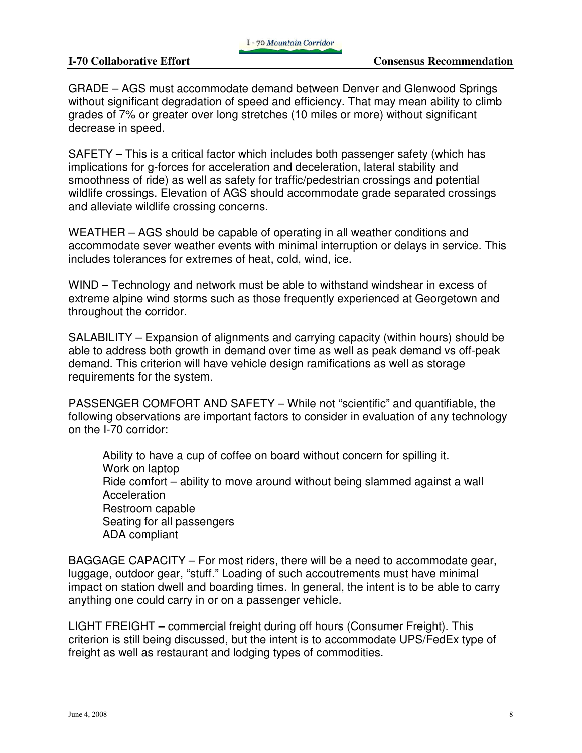GRADE – AGS must accommodate demand between Denver and Glenwood Springs without significant degradation of speed and efficiency. That may mean ability to climb grades of 7% or greater over long stretches (10 miles or more) without significant decrease in speed.

SAFETY – This is a critical factor which includes both passenger safety (which has implications for g-forces for acceleration and deceleration, lateral stability and smoothness of ride) as well as safety for traffic/pedestrian crossings and potential wildlife crossings. Elevation of AGS should accommodate grade separated crossings and alleviate wildlife crossing concerns.

WEATHER – AGS should be capable of operating in all weather conditions and accommodate sever weather events with minimal interruption or delays in service. This includes tolerances for extremes of heat, cold, wind, ice.

WIND – Technology and network must be able to withstand windshear in excess of extreme alpine wind storms such as those frequently experienced at Georgetown and throughout the corridor.

SALABILITY – Expansion of alignments and carrying capacity (within hours) should be able to address both growth in demand over time as well as peak demand vs off-peak demand. This criterion will have vehicle design ramifications as well as storage requirements for the system.

PASSENGER COMFORT AND SAFETY – While not "scientific" and quantifiable, the following observations are important factors to consider in evaluation of any technology on the I-70 corridor:

Ability to have a cup of coffee on board without concern for spilling it. Work on laptop Ride comfort – ability to move around without being slammed against a wall Acceleration Restroom capable Seating for all passengers ADA compliant

BAGGAGE CAPACITY – For most riders, there will be a need to accommodate gear, luggage, outdoor gear, "stuff." Loading of such accoutrements must have minimal impact on station dwell and boarding times. In general, the intent is to be able to carry anything one could carry in or on a passenger vehicle.

LIGHT FREIGHT – commercial freight during off hours (Consumer Freight). This criterion is still being discussed, but the intent is to accommodate UPS/FedEx type of freight as well as restaurant and lodging types of commodities.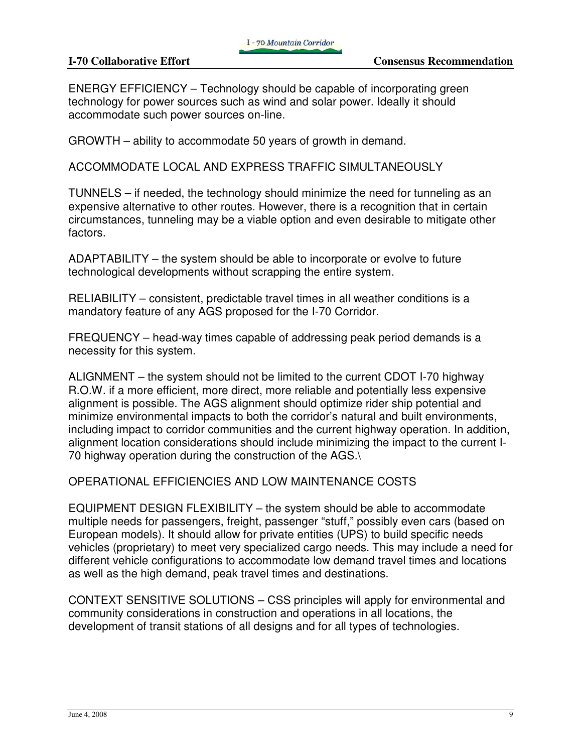ENERGY EFFICIENCY – Technology should be capable of incorporating green technology for power sources such as wind and solar power. Ideally it should accommodate such power sources on-line.

GROWTH – ability to accommodate 50 years of growth in demand.

ACCOMMODATE LOCAL AND EXPRESS TRAFFIC SIMULTANEOUSLY

TUNNELS – if needed, the technology should minimize the need for tunneling as an expensive alternative to other routes. However, there is a recognition that in certain circumstances, tunneling may be a viable option and even desirable to mitigate other factors.

ADAPTABILITY – the system should be able to incorporate or evolve to future technological developments without scrapping the entire system.

RELIABILITY – consistent, predictable travel times in all weather conditions is a mandatory feature of any AGS proposed for the I-70 Corridor.

FREQUENCY – head-way times capable of addressing peak period demands is a necessity for this system.

ALIGNMENT – the system should not be limited to the current CDOT I-70 highway R.O.W. if a more efficient, more direct, more reliable and potentially less expensive alignment is possible. The AGS alignment should optimize rider ship potential and minimize environmental impacts to both the corridor's natural and built environments, including impact to corridor communities and the current highway operation. In addition, alignment location considerations should include minimizing the impact to the current I-70 highway operation during the construction of the AGS.\

OPERATIONAL EFFICIENCIES AND LOW MAINTENANCE COSTS

EQUIPMENT DESIGN FLEXIBILITY – the system should be able to accommodate multiple needs for passengers, freight, passenger "stuff," possibly even cars (based on European models). It should allow for private entities (UPS) to build specific needs vehicles (proprietary) to meet very specialized cargo needs. This may include a need for different vehicle configurations to accommodate low demand travel times and locations as well as the high demand, peak travel times and destinations.

CONTEXT SENSITIVE SOLUTIONS – CSS principles will apply for environmental and community considerations in construction and operations in all locations, the development of transit stations of all designs and for all types of technologies.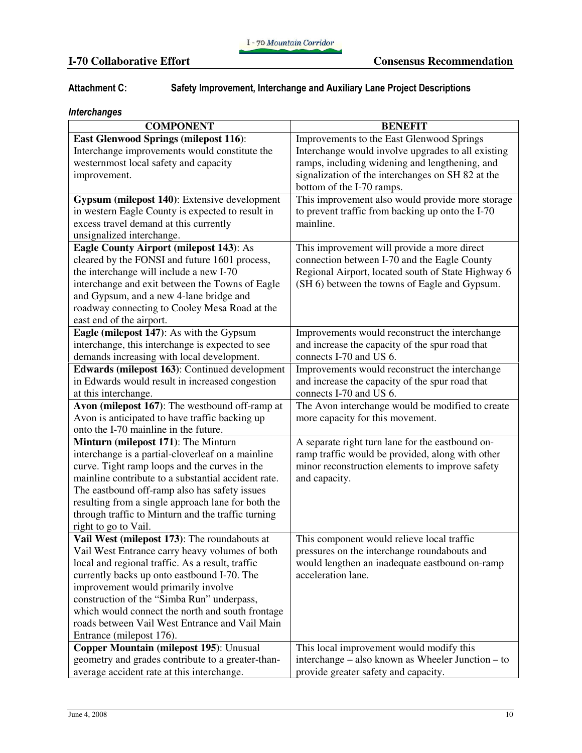# Attachment C: Safety Improvement, Interchange and Auxiliary Lane Project Descriptions

# Interchanges

| <b>COMPONENT</b>                                    | <b>BENEFIT</b>                                     |
|-----------------------------------------------------|----------------------------------------------------|
| <b>East Glenwood Springs (milepost 116):</b>        | Improvements to the East Glenwood Springs          |
| Interchange improvements would constitute the       | Interchange would involve upgrades to all existing |
| westernmost local safety and capacity               | ramps, including widening and lengthening, and     |
| improvement.                                        | signalization of the interchanges on SH 82 at the  |
|                                                     | bottom of the I-70 ramps.                          |
| Gypsum (milepost 140): Extensive development        | This improvement also would provide more storage   |
| in western Eagle County is expected to result in    | to prevent traffic from backing up onto the I-70   |
| excess travel demand at this currently              | mainline.                                          |
| unsignalized interchange.                           |                                                    |
| <b>Eagle County Airport (milepost 143): As</b>      | This improvement will provide a more direct        |
| cleared by the FONSI and future 1601 process,       | connection between I-70 and the Eagle County       |
| the interchange will include a new I-70             | Regional Airport, located south of State Highway 6 |
| interchange and exit between the Towns of Eagle     | (SH 6) between the towns of Eagle and Gypsum.      |
| and Gypsum, and a new 4-lane bridge and             |                                                    |
| roadway connecting to Cooley Mesa Road at the       |                                                    |
| east end of the airport.                            |                                                    |
| Eagle (milepost 147): As with the Gypsum            | Improvements would reconstruct the interchange     |
| interchange, this interchange is expected to see    | and increase the capacity of the spur road that    |
| demands increasing with local development.          | connects I-70 and US 6.                            |
| Edwards (milepost 163): Continued development       | Improvements would reconstruct the interchange     |
| in Edwards would result in increased congestion     | and increase the capacity of the spur road that    |
| at this interchange.                                | connects I-70 and US 6.                            |
| Avon (milepost 167): The westbound off-ramp at      | The Avon interchange would be modified to create   |
| Avon is anticipated to have traffic backing up      | more capacity for this movement.                   |
| onto the I-70 mainline in the future.               |                                                    |
| Minturn (milepost 171): The Minturn                 | A separate right turn lane for the eastbound on-   |
| interchange is a partial-cloverleaf on a mainline   | ramp traffic would be provided, along with other   |
| curve. Tight ramp loops and the curves in the       | minor reconstruction elements to improve safety    |
| mainline contribute to a substantial accident rate. | and capacity.                                      |
| The eastbound off-ramp also has safety issues       |                                                    |
| resulting from a single approach lane for both the  |                                                    |
| through traffic to Minturn and the traffic turning  |                                                    |
| right to go to Vail.                                |                                                    |
| Vail West (milepost 173): The roundabouts at        | This component would relieve local traffic         |
| Vail West Entrance carry heavy volumes of both      | pressures on the interchange roundabouts and       |
| local and regional traffic. As a result, traffic    | would lengthen an inadequate eastbound on-ramp     |
| currently backs up onto eastbound I-70. The         | acceleration lane.                                 |
| improvement would primarily involve                 |                                                    |
| construction of the "Simba Run" underpass,          |                                                    |
| which would connect the north and south frontage    |                                                    |
| roads between Vail West Entrance and Vail Main      |                                                    |
| Entrance (milepost 176).                            |                                                    |
| Copper Mountain (milepost 195): Unusual             | This local improvement would modify this           |
| geometry and grades contribute to a greater-than-   | interchange – also known as Wheeler Junction – to  |
| average accident rate at this interchange.          | provide greater safety and capacity.               |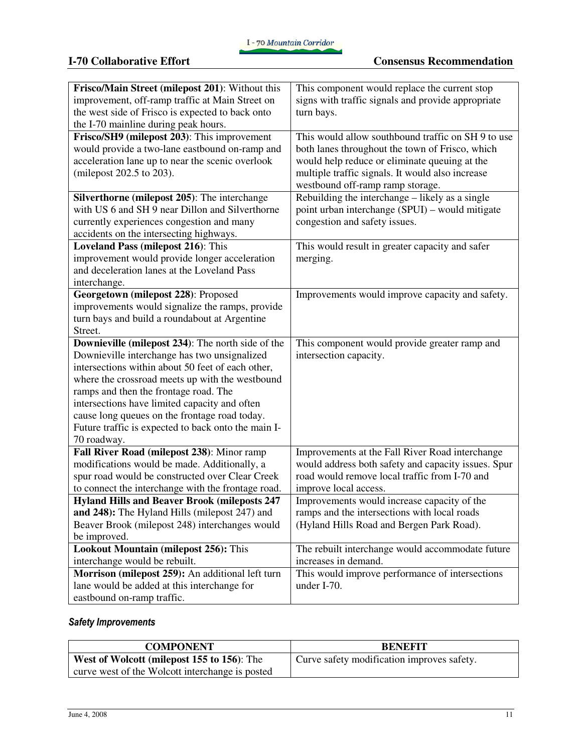| Frisco/Main Street (milepost 201): Without this                                                 | This component would replace the current stop                                               |
|-------------------------------------------------------------------------------------------------|---------------------------------------------------------------------------------------------|
| improvement, off-ramp traffic at Main Street on                                                 | signs with traffic signals and provide appropriate                                          |
| the west side of Frisco is expected to back onto                                                | turn bays.                                                                                  |
| the I-70 mainline during peak hours.                                                            |                                                                                             |
| Frisco/SH9 (milepost 203): This improvement                                                     | This would allow southbound traffic on SH 9 to use                                          |
| would provide a two-lane eastbound on-ramp and                                                  | both lanes throughout the town of Frisco, which                                             |
| acceleration lane up to near the scenic overlook                                                | would help reduce or eliminate queuing at the                                               |
| (milepost 202.5 to 203).                                                                        | multiple traffic signals. It would also increase                                            |
|                                                                                                 | westbound off-ramp ramp storage.                                                            |
| Silverthorne (milepost 205): The interchange                                                    | Rebuilding the interchange – likely as a single                                             |
| with US 6 and SH 9 near Dillon and Silverthorne                                                 | point urban interchange (SPUI) – would mitigate                                             |
| currently experiences congestion and many                                                       | congestion and safety issues.                                                               |
| accidents on the intersecting highways.                                                         |                                                                                             |
| <b>Loveland Pass (milepost 216): This</b>                                                       | This would result in greater capacity and safer                                             |
| improvement would provide longer acceleration                                                   | merging.                                                                                    |
| and deceleration lanes at the Loveland Pass                                                     |                                                                                             |
| interchange.                                                                                    |                                                                                             |
| Georgetown (milepost 228): Proposed                                                             | Improvements would improve capacity and safety.                                             |
| improvements would signalize the ramps, provide                                                 |                                                                                             |
| turn bays and build a roundabout at Argentine                                                   |                                                                                             |
| Street.                                                                                         |                                                                                             |
|                                                                                                 |                                                                                             |
| Downieville (milepost 234): The north side of the                                               | This component would provide greater ramp and                                               |
| Downieville interchange has two unsignalized                                                    | intersection capacity.                                                                      |
| intersections within about 50 feet of each other,                                               |                                                                                             |
| where the crossroad meets up with the westbound                                                 |                                                                                             |
| ramps and then the frontage road. The                                                           |                                                                                             |
| intersections have limited capacity and often                                                   |                                                                                             |
| cause long queues on the frontage road today.                                                   |                                                                                             |
| Future traffic is expected to back onto the main I-                                             |                                                                                             |
| 70 roadway.                                                                                     |                                                                                             |
| Fall River Road (milepost 238): Minor ramp                                                      |                                                                                             |
|                                                                                                 | Improvements at the Fall River Road interchange                                             |
| modifications would be made. Additionally, a                                                    | would address both safety and capacity issues. Spur                                         |
| spur road would be constructed over Clear Creek                                                 | road would remove local traffic from I-70 and                                               |
| to connect the interchange with the frontage road.                                              | improve local access.                                                                       |
| <b>Hyland Hills and Beaver Brook (mileposts 247</b>                                             |                                                                                             |
| and 248): The Hyland Hills (milepost 247) and                                                   | Improvements would increase capacity of the<br>ramps and the intersections with local roads |
| Beaver Brook (milepost 248) interchanges would                                                  | (Hyland Hills Road and Bergen Park Road).                                                   |
|                                                                                                 |                                                                                             |
| be improved.<br><b>Lookout Mountain (milepost 256): This</b>                                    | The rebuilt interchange would accommodate future                                            |
|                                                                                                 | increases in demand.                                                                        |
| interchange would be rebuilt.                                                                   |                                                                                             |
| Morrison (milepost 259): An additional left turn<br>lane would be added at this interchange for | This would improve performance of intersections<br>under I-70.                              |

# Safety Improvements

| <b>COMPONENT</b>                                | <b>BENEFIT</b>                             |
|-------------------------------------------------|--------------------------------------------|
| West of Wolcott (milepost 155 to 156): The      | Curve safety modification improves safety. |
| curve west of the Wolcott interchange is posted |                                            |